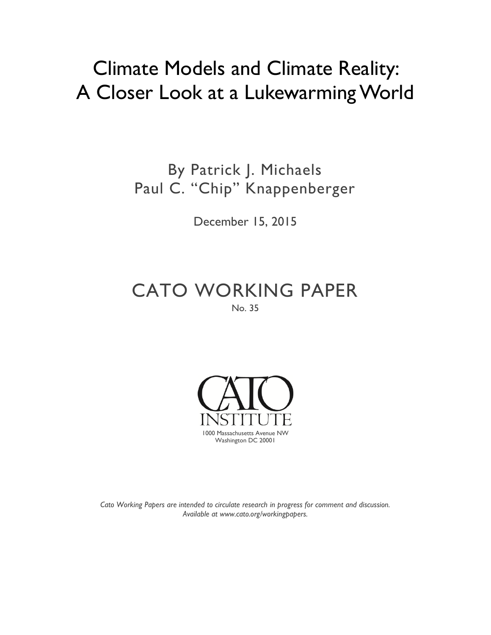## Climate Models and Climate Reality: A Closer Look at a Lukewarming World

By Patrick J. Michaels Paul C. "Chip" Knappenberger

December 15, 2015

CATO WORKING PAPER No. 35



*Cato Working Papers are intended to circulate research in progress for comment and discussion. Available at [www.cato.org/workingpapers.](http://www.cato.org/workingpapers)*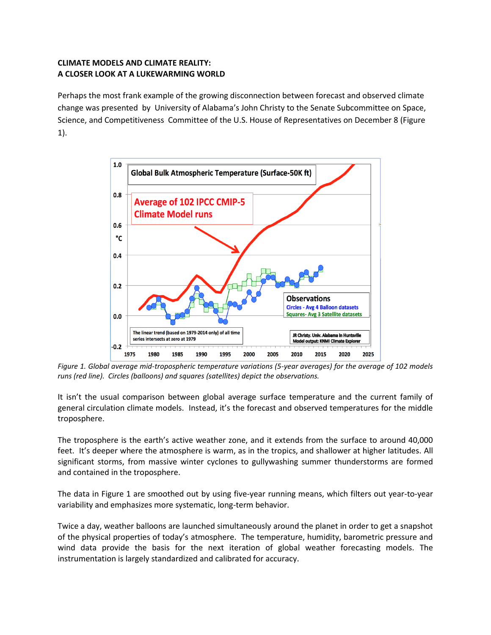## **CLIMATE MODELS AND CLIMATE REALITY: A CLOSER LOOK AT A LUKEWARMING WORLD**

Perhaps the most frank example of the growing disconnection between forecast and observed climate change was presented by University of Alabama's John Christy to the Senate Subcommittee on Space, Science, and Competitiveness Committee of the U.S. House of Representatives on December 8 (Figure 1).



*Figure 1. Global average mid-tropospheric temperature variations (5-year averages) for the average of 102 models runs (red line). Circles (balloons) and squares (satellites) depict the observations.*

It isn't the usual comparison between global average surface temperature and the current family of general circulation climate models. Instead, it's the forecast and observed temperatures for the middle troposphere.

The troposphere is the earth's active weather zone, and it extends from the surface to around 40,000 feet. It's deeper where the atmosphere is warm, as in the tropics, and shallower at higher latitudes. All significant storms, from massive winter cyclones to gullywashing summer thunderstorms are formed and contained in the troposphere.

The data in Figure 1 are smoothed out by using five-year running means, which filters out year-to-year variability and emphasizes more systematic, long-term behavior.

Twice a day, weather balloons are launched simultaneously around the planet in order to get a snapshot of the physical properties of today's atmosphere. The temperature, humidity, barometric pressure and wind data provide the basis for the next iteration of global weather forecasting models. The instrumentation is largely standardized and calibrated for accuracy.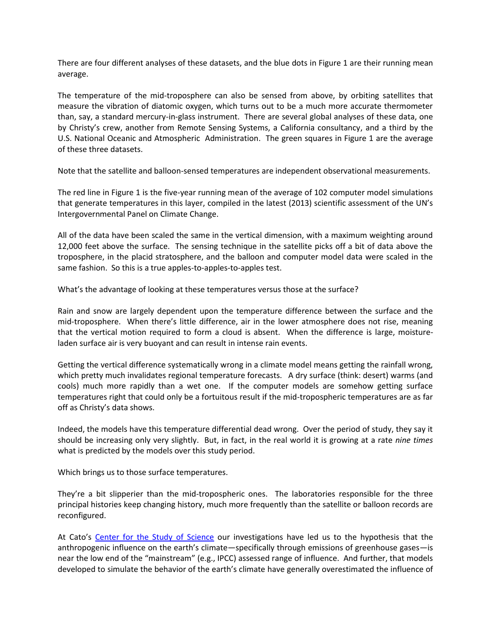There are four different analyses of these datasets, and the blue dots in Figure 1 are their running mean average.

The temperature of the mid-troposphere can also be sensed from above, by orbiting satellites that measure the vibration of diatomic oxygen, which turns out to be a much more accurate thermometer than, say, a standard mercury-in-glass instrument. There are several global analyses of these data, one by Christy's crew, another from Remote Sensing Systems, a California consultancy, and a third by the U.S. National Oceanic and Atmospheric Administration. The green squares in Figure 1 are the average of these three datasets.

Note that the satellite and balloon-sensed temperatures are independent observational measurements.

The red line in Figure 1 is the five-year running mean of the average of 102 computer model simulations that generate temperatures in this layer, compiled in the latest (2013) scientific assessment of the UN's Intergovernmental Panel on Climate Change.

All of the data have been scaled the same in the vertical dimension, with a maximum weighting around 12,000 feet above the surface. The sensing technique in the satellite picks off a bit of data above the troposphere, in the placid stratosphere, and the balloon and computer model data were scaled in the same fashion. So this is a true apples-to-apples-to-apples test.

What's the advantage of looking at these temperatures versus those at the surface?

Rain and snow are largely dependent upon the temperature difference between the surface and the mid-troposphere. When there's little difference, air in the lower atmosphere does not rise, meaning that the vertical motion required to form a cloud is absent. When the difference is large, moistureladen surface air is very buoyant and can result in intense rain events.

Getting the vertical difference systematically wrong in a climate model means getting the rainfall wrong, which pretty much invalidates regional temperature forecasts. A dry surface (think: desert) warms (and cools) much more rapidly than a wet one. If the computer models are somehow getting surface temperatures right that could only be a fortuitous result if the mid-tropospheric temperatures are as far off as Christy's data shows.

Indeed, the models have this temperature differential dead wrong. Over the period of study, they say it should be increasing only very slightly. But, in fact, in the real world it is growing at a rate *nine times* what is predicted by the models over this study period.

Which brings us to those surface temperatures.

They're a bit slipperier than the mid-tropospheric ones. The laboratories responsible for the three principal histories keep changing history, much more frequently than the satellite or balloon records are reconfigured.

At Cato's [Center for the Study of Science](http://www.cato.org/centers/center-study-science) our investigations have led us to the hypothesis that the anthropogenic influence on the earth's climate—specifically through emissions of greenhouse gases—is near the low end of the "mainstream" (e.g., IPCC) assessed range of influence. And further, that models developed to simulate the behavior of the earth's climate have generally overestimated the influence of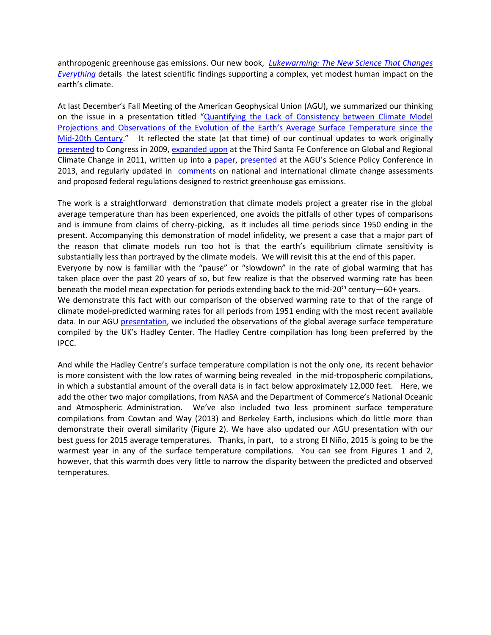anthropogenic greenhouse gas emissions. Our new book, *[Lukewarming: The New Science That Changes](https://store.cato.org/book/lukewarming)  [Everything](https://store.cato.org/book/lukewarming)* details the latest scientific findings supporting a complex, yet modest human impact on the earth's climate.

At last December's Fall Meeting of the American Geophysical Union (AGU), we summarized our thinking on the issue in a presentation titled "[Quantifying the Lack of Consistency between Climate Model](http://object.cato.org/sites/cato.org/files/articles/agu_2014_fall_poster_michaels_knappenberger.pdf)  [Projections and Observations of the Evolution of the Earth's Average Surface Temperature since the](http://object.cato.org/sites/cato.org/files/articles/agu_2014_fall_poster_michaels_knappenberger.pdf)  [Mid-20th Century](http://object.cato.org/sites/cato.org/files/articles/agu_2014_fall_poster_michaels_knappenberger.pdf)." It reflected the state (at that time) of our continual updates to work originally [presented](http://www.cato.org/publications/congressional-testimony/climate-crisis-national-security-economic-public-health-threats) to Congress in 2009, [expanded upon](http://www.cvent.com/events/third-santa-fe-conference-on-global-and-regional-climate-change/custom-19-bb57a62c4a1f40d8af285205963998df.aspx) at the Third Santa Fe Conference on Global and Regional Climate Change in 2011, written up into a [paper,](http://judithcurry.com/2013/09/19/peer-review-the-skeptic-filter/) [presented](http://object.cato.org/sites/cato.org/files/articles/agu_2013_poster.pdf) at the AGU's Science Policy Conference in 2013, and regularly updated in [comments](http://www.cato.org/people/39040/public-filings) on national and international climate change assessments and proposed federal regulations designed to restrict greenhouse gas emissions.

The work is a straightforward demonstration that climate models project a greater rise in the global average temperature than has been experienced, one avoids the pitfalls of other types of comparisons and is immune from claims of cherry-picking, as it includes all time periods since 1950 ending in the present. Accompanying this demonstration of model infidelity, we present a case that a major part of the reason that climate models run too hot is that the earth's equilibrium climate sensitivity is substantially less than portrayed by the climate models. We will revisit this at the end of this paper. Everyone by now is familiar with the "pause" or "slowdown" in the rate of global warming that has taken place over the past 20 years of so, but few realize is that the observed warming rate has been beneath the model mean expectation for periods extending back to the mid- $20<sup>th</sup>$  century—60+ years. We demonstrate this fact with our comparison of the observed warming rate to that of the range of climate model-predicted warming rates for all periods from 1951 ending with the most recent available data. In our AGU [presentation,](http://object.cato.org/sites/cato.org/files/articles/agu_2014_fall_poster_michaels_knappenberger.pdf) we included the observations of the global average surface temperature compiled by the UK's Hadley Center. The Hadley Centre compilation has long been preferred by the IPCC.

And while the Hadley Centre's surface temperature compilation is not the only one, its recent behavior is more consistent with the low rates of warming being revealed in the mid-tropospheric compilations, in which a substantial amount of the overall data is in fact below approximately 12,000 feet. Here, we add the other two major compilations, from NASA and the Department of Commerce's National Oceanic and Atmospheric Administration. We've also included two less prominent surface temperature compilations from Cowtan and Way (2013) and Berkeley Earth, inclusions which do little more than demonstrate their overall similarity (Figure 2). We have also updated our AGU presentation with our best guess for 2015 average temperatures. Thanks, in part, to a strong El Niño, 2015 is going to be the warmest year in any of the surface temperature compilations. You can see from Figures 1 and 2, however, that this warmth does very little to narrow the disparity between the predicted and observed temperatures.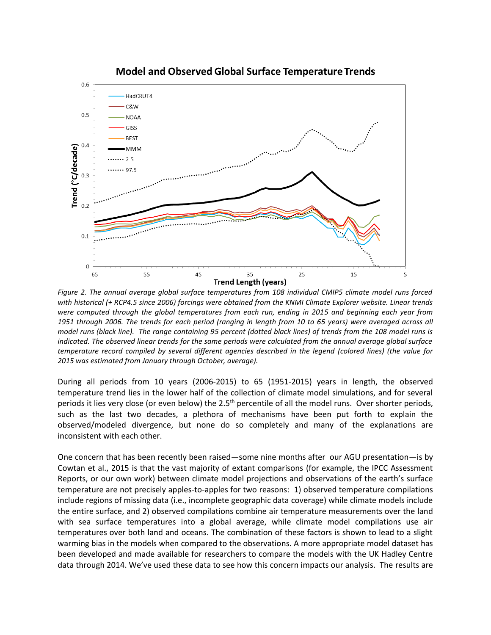

**Model and Observed Global Surface Temperature Trends** 

*Figure 2. The annual average global surface temperatures from 108 individual CMIP5 climate model runs forced with historical (+ RCP4.5 since 2006) forcings were obtained from the KNMI Climate Explorer website. Linear trends were computed through the global temperatures from each run, ending in 2015 and beginning each year from 1951 through 2006. The trends for each period (ranging in length from 10 to 65 years) were averaged across all model runs (black line). The range containing 95 percent (dotted black lines) of trends from the 108 model runs is indicated. The observed linear trends for the same periods were calculated from the annual average global surface temperature record compiled by several different agencies described in the legend (colored lines) (the value for 2015 was estimated from January through October, average).*

During all periods from 10 years (2006-2015) to 65 (1951-2015) years in length, the observed temperature trend lies in the lower half of the collection of climate model simulations, and for several periods it lies very close (or even below) the 2.5<sup>th</sup> percentile of all the model runs. Over shorter periods, such as the last two decades, a plethora of mechanisms have been put forth to explain the observed/modeled divergence, but none do so completely and many of the explanations are inconsistent with each other.

One concern that has been recently been raised—some nine months after our AGU presentation—is by Cowtan et al., 2015 is that the vast majority of extant comparisons (for example, the IPCC Assessment Reports, or our own work) between climate model projections and observations of the earth's surface temperature are not precisely apples-to-apples for two reasons: 1) observed temperature compilations include regions of missing data (i.e., incomplete geographic data coverage) while climate models include the entire surface, and 2) observed compilations combine air temperature measurements over the land with sea surface temperatures into a global average, while climate model compilations use air temperatures over both land and oceans. The combination of these factors is shown to lead to a slight warming bias in the models when compared to the observations. A more appropriate model dataset has been developed and made available for researchers to compare the models with the UK Hadley Centre data through 2014. We've used these data to see how this concern impacts our analysis. The results are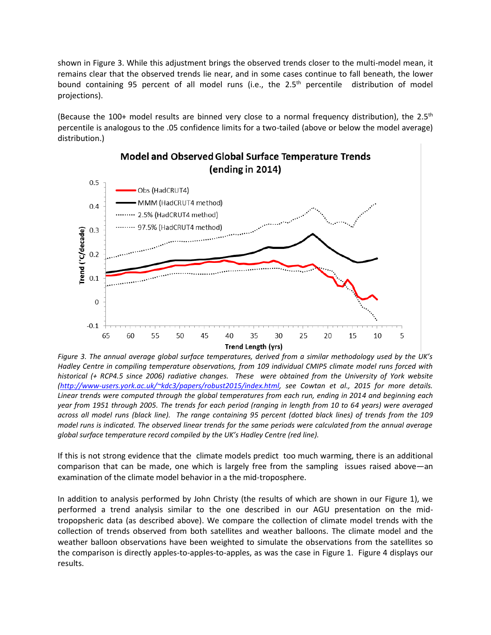shown in Figure 3. While this adjustment brings the observed trends closer to the multi-model mean, it remains clear that the observed trends lie near, and in some cases continue to fall beneath, the lower bound containing 95 percent of all model runs (i.e., the 2.5<sup>th</sup> percentile distribution of model projections).

(Because the 100+ model results are binned very close to a normal frequency distribution), the 2.5<sup>th</sup> percentile is analogous to the .05 confidence limits for a two-tailed (above or below the model average) distribution.)



## **Model and Observed Global Surface Temperature Trends** (ending in 2014)

*Figure 3. The annual average global surface temperatures, derived from a similar methodology used by the UK's Hadley Centre in compiling temperature observations, from 109 individual CMIP5 climate model runs forced with historical (+ RCP4.5 since 2006) radiative changes. These were obtained from the University of York website [\(http://www-users.york.ac.uk/~kdc3/papers/robust2015/index.html,](http://www-users.york.ac.uk/~kdc3/papers/robust2015/index.html) see Cowtan et al., 2015 for more details. Linear trends were computed through the global temperatures from each run, ending in 2014 and beginning each year from 1951 through 2005. The trends for each period (ranging in length from 10 to 64 years) were averaged across all model runs (black line). The range containing 95 percent (dotted black lines) of trends from the 109 model runs is indicated. The observed linear trends for the same periods were calculated from the annual average global surface temperature record compiled by the UK's Hadley Centre (red line).*

If this is not strong evidence that the climate models predict too much warming, there is an additional comparison that can be made, one which is largely free from the sampling issues raised above—an examination of the climate model behavior in a the mid-troposphere.

In addition to analysis performed by John Christy (the results of which are shown in our Figure 1), we performed a trend analysis similar to the one described in our AGU presentation on the midtropopsheric data (as described above). We compare the collection of climate model trends with the collection of trends observed from both satellites and weather balloons. The climate model and the weather balloon observations have been weighted to simulate the observations from the satellites so the comparison is directly apples-to-apples-to-apples, as was the case in Figure 1. Figure 4 displays our results.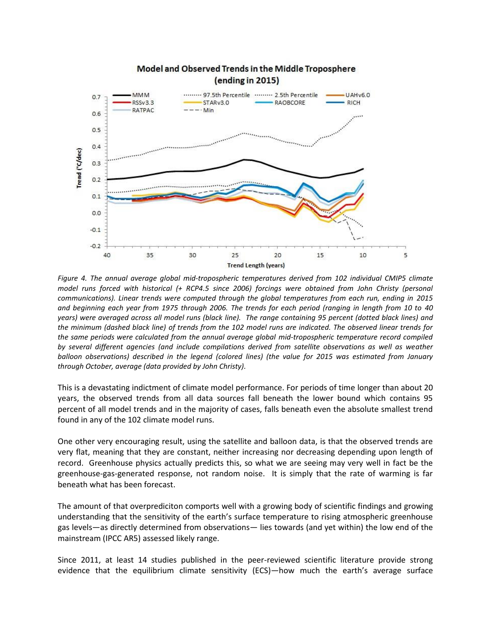

*Figure 4. The annual average global mid-tropospheric temperatures derived from 102 individual CMIP5 climate model runs forced with historical (+ RCP4.5 since 2006) forcings were obtained from John Christy (personal communications). Linear trends were computed through the global temperatures from each run, ending in 2015 and beginning each year from 1975 through 2006. The trends for each period (ranging in length from 10 to 40 years) were averaged across all model runs (black line). The range containing 95 percent (dotted black lines) and the minimum (dashed black line) of trends from the 102 model runs are indicated. The observed linear trends for the same periods were calculated from the annual average global mid-tropospheric temperature record compiled by several different agencies (and include compilations derived from satellite observations as well as weather balloon observations) described in the legend (colored lines) (the value for 2015 was estimated from January through October, average (data provided by John Christy).*

This is a devastating indictment of climate model performance. For periods of time longer than about 20 years, the observed trends from all data sources fall beneath the lower bound which contains 95 percent of all model trends and in the majority of cases, falls beneath even the absolute smallest trend found in any of the 102 climate model runs.

One other very encouraging result, using the satellite and balloon data, is that the observed trends are very flat, meaning that they are constant, neither increasing nor decreasing depending upon length of record. Greenhouse physics actually predicts this, so what we are seeing may very well in fact be the greenhouse-gas-generated response, not random noise. It is simply that the rate of warming is far beneath what has been forecast.

The amount of that overprediciton comports well with a growing body of scientific findings and growing understanding that the sensitivity of the earth's surface temperature to rising atmospheric greenhouse gas levels—as directly determined from observations— lies towards (and yet within) the low end of the mainstream (IPCC AR5) assessed likely range.

Since 2011, at least 14 studies published in the peer-reviewed scientific literature provide strong evidence that the equilibrium climate sensitivity (ECS)—how much the earth's average surface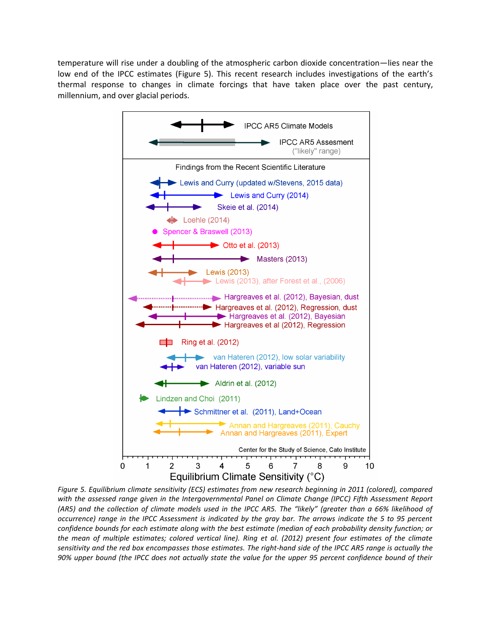temperature will rise under a doubling of the atmospheric carbon dioxide concentration—lies near the low end of the IPCC estimates (Figure 5). This recent research includes investigations of the earth's thermal response to changes in climate forcings that have taken place over the past century, millennium, and over glacial periods.



*Figure 5. Equilibrium climate sensitivity (ECS) estimates from new research beginning in 2011 (colored), compared*  with the assessed range given in the Intergovernmental Panel on Climate Change (IPCC) Fifth Assessment Report *(AR5) and the collection of climate models used in the IPCC AR5. The "likely" (greater than a 66% likelihood of occurrence) range in the IPCC Assessment is indicated by the gray bar. The arrows indicate the 5 to 95 percent confidence bounds for each estimate along with the best estimate (median of each probability density function; or the mean of multiple estimates; colored vertical line). Ring et al. (2012) present four estimates of the climate sensitivity and the red box encompasses those estimates. The right-hand side of the IPCC AR5 range is actually the 90% upper bound (the IPCC does not actually state the value for the upper 95 percent confidence bound of their*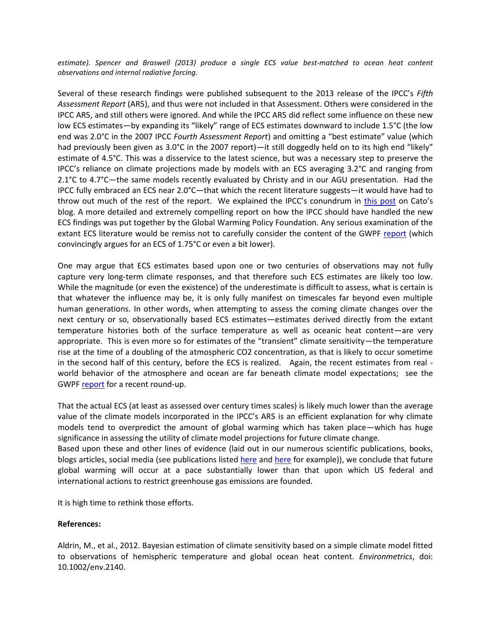*estimate). Spencer and Braswell (2013) produce a single ECS value best-matched to ocean heat content observations and internal radiative forcing.*

Several of these research findings were published subsequent to the 2013 release of the IPCC's *Fifth Assessment Report* (AR5), and thus were not included in that Assessment. Others were considered in the IPCC AR5, and still others were ignored. And while the IPCC AR5 did reflect some influence on these new low ECS estimates—by expanding its "likely" range of ECS estimates downward to include 1.5°C (the low end was 2.0°C in the 2007 IPCC *Fourth Assessment Report*) and omitting a "best estimate" value (which had previously been given as 3.0°C in the 2007 report)—it still doggedly held on to its high end "likely" estimate of 4.5°C. This was a disservice to the latest science, but was a necessary step to preserve the IPCC's reliance on climate projections made by models with an ECS averaging 3.2°C and ranging from 2.1<sup>°</sup>C to 4.7<sup>°</sup>C—the same models recently evaluated by Christy and in our AGU presentation. Had the IPCC fully embraced an ECS near 2.0°C—that which the recent literature suggests—it would have had to throw out much of the rest of the report. We explained the IPCC's conundrum in [this post](http://www.cato.org/blog/ipcc-ar5-real-trouble) on Cato's blog. A more detailed and extremely compelling report on how the IPCC should have handled the new ECS findings was put together by the Global Warming Policy Foundation. Any serious examination of the extant ECS literature would be remiss not to carefully consider the content of the GWPF [report](http://www.thegwpf.org/content/uploads/2014/02/A-Sensitive-Matter-Foreword-inc.pdf) (which convincingly argues for an ECS of 1.75°C or even a bit lower).

One may argue that ECS estimates based upon one or two centuries of observations may not fully capture very long-term climate responses, and that therefore such ECS estimates are likely too low. While the magnitude (or even the existence) of the underestimate is difficult to assess, what is certain is that whatever the influence may be, it is only fully manifest on timescales far beyond even multiple human generations. In other words, when attempting to assess the coming climate changes over the next century or so, observationally based ECS estimates—estimates derived directly from the extant temperature histories both of the surface temperature as well as oceanic heat content—are very appropriate. This is even more so for estimates of the "transient" climate sensitivity—the temperature rise at the time of a doubling of the atmospheric CO2 concentration, as that is likely to occur sometime in the second half of this century, before the ECS is realized. Again, the recent estimates from real world behavior of the atmosphere and ocean are far beneath climate model expectations; see the GWPF [report](http://www.thegwpf.org/content/uploads/2014/02/A-Sensitive-Matter-Foreword-inc.pdf) for a recent round-up.

That the actual ECS (at least as assessed over century times scales) is likely much lower than the average value of the climate models incorporated in the IPCC's AR5 is an efficient explanation for why climate models tend to overpredict the amount of global warming which has taken place—which has huge significance in assessing the utility of climate model projections for future climate change.

Based upon these and other lines of evidence (laid out in our numerous scientific publications, books, blogs articles, social media (see publications listed [here](http://www.cato.org/people/patrick-michaels) an[d here](http://www.cato.org/people/chip-knappenberger) for example)), we conclude that future global warming will occur at a pace substantially lower than that upon which US federal and international actions to restrict greenhouse gas emissions are founded.

It is high time to rethink those efforts.

## **References:**

Aldrin, M., et al., 2012. Bayesian estimation of climate sensitivity based on a simple climate model fitted to observations of hemispheric temperature and global ocean heat content. *Environmetrics*, doi: 10.1002/env.2140.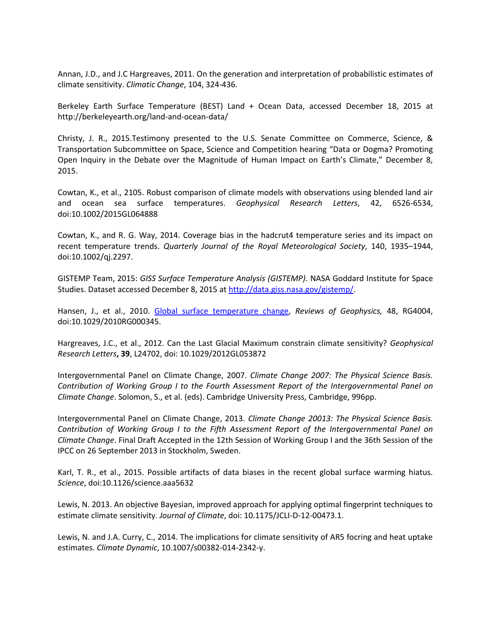Annan, J.D., and J.C Hargreaves, 2011. On the generation and interpretation of probabilistic estimates of climate sensitivity. *Climatic Change*, 104, 324-436.

Berkeley Earth Surface Temperature (BEST) Land + Ocean Data, accessed December 18, 2015 at http://berkeleyearth.org/land-and-ocean-data/

Christy, J. R., 2015.Testimony presented to the U.S. Senate Committee on Commerce, Science, & Transportation Subcommittee on Space, Science and Competition hearing "Data or Dogma? Promoting Open Inquiry in the Debate over the Magnitude of Human Impact on Earth's Climate," December 8, 2015.

Cowtan, K., et al., 2105. Robust comparison of climate models with observations using blended land air and ocean sea surface temperatures. *Geophysical Research Letters*, 42, 6526-6534, doi:10.1002/2015GL064888

Cowtan, K., and R. G. Way, 2014. Coverage bias in the hadcrut4 temperature series and its impact on recent temperature trends. *Quarterly Journal of the Royal Meteorological Society*, 140, 1935–1944, doi:10.1002/qj.2297.

GISTEMP Team, 2015: *GISS Surface Temperature Analysis (GISTEMP)*. NASA Goddard Institute for Space Studies. Dataset accessed December 8, 2015 at [http://data.giss.nasa.gov/gistemp/.](http://data.giss.nasa.gov/gistemp/)

Hansen, J., et al., 2010. [Global surface temperature change,](http://pubs.giss.nasa.gov/abs/ha00510u.html) *Reviews of Geophysics,* 48, RG4004, doi:10.1029/2010RG000345.

Hargreaves, J.C., et al., 2012. Can the Last Glacial Maximum constrain climate sensitivity? *Geophysical Research Letters***, 39**, L24702, doi: 10.1029/2012GL053872

Intergovernmental Panel on Climate Change, 2007. *Climate Change 2007: The Physical Science Basis. Contribution of Working Group I to the Fourth Assessment Report of the Intergovernmental Panel on Climate Change*. Solomon, S., et al. (eds). Cambridge University Press, Cambridge, 996pp.

Intergovernmental Panel on Climate Change, 2013. *Climate Change 20013: The Physical Science Basis. Contribution of Working Group I to the Fifth Assessment Report of the Intergovernmental Panel on Climate Change*. Final Draft Accepted in the 12th Session of Working Group I and the 36th Session of the IPCC on 26 September 2013 in Stockholm, Sweden.

Karl, T. R., et al., 2015. Possible artifacts of data biases in the recent global surface warming hiatus. *Science*, doi:10.1126/science.aaa5632

Lewis, N. 2013. An objective Bayesian, improved approach for applying optimal fingerprint techniques to estimate climate sensitivity. *Journal of Climate*, doi: 10.1175/JCLI-D-12-00473.1.

Lewis, N. and J.A. Curry, C., 2014. The implications for climate sensitivity of AR5 focring and heat uptake estimates. *Climate Dynamic*, 10.1007/s00382-014-2342-y.